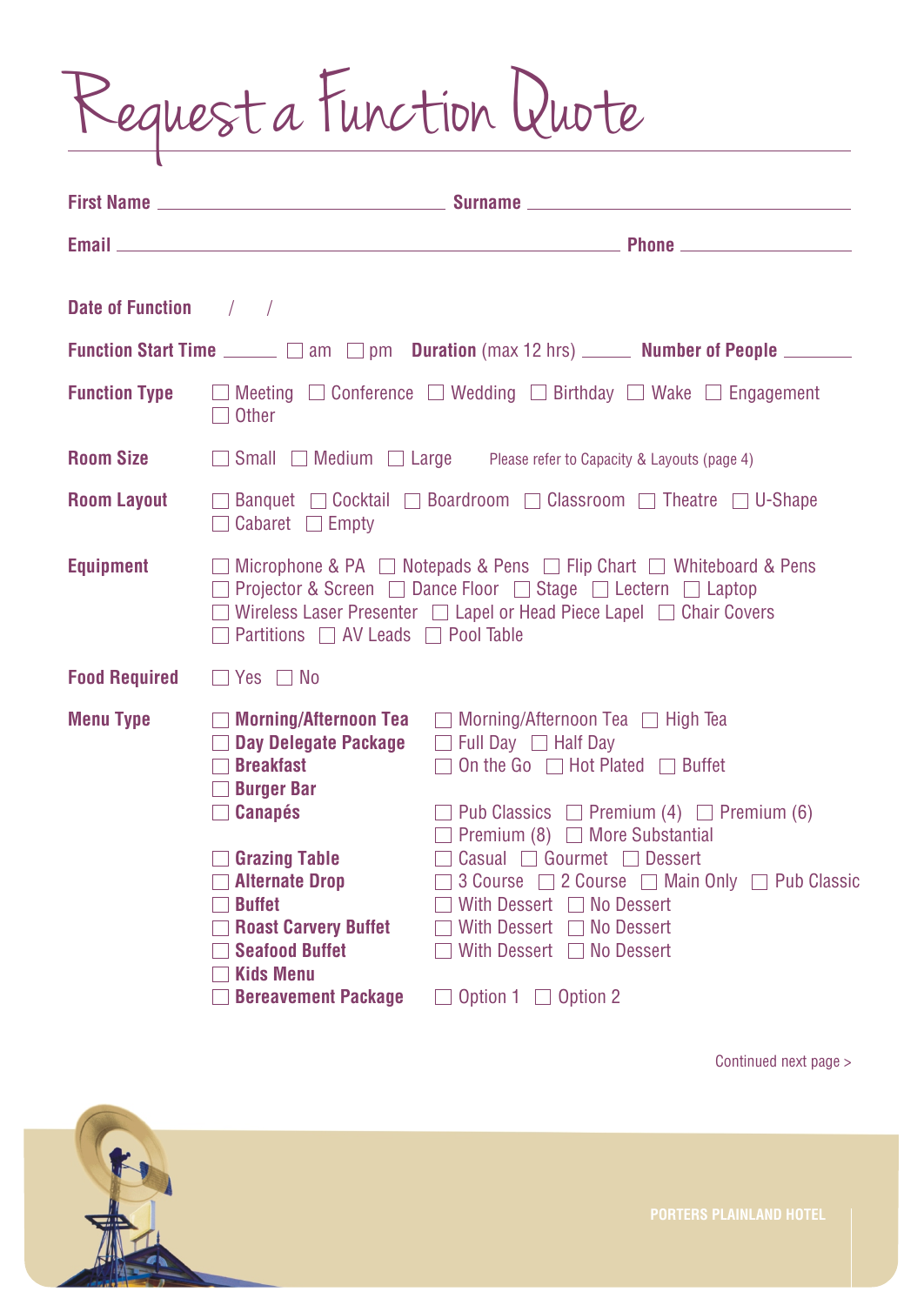Request a Function Quote

| Date of Function / / |                                                                                                                                                                                                                                                                                           |                                                                                                                                                                                                                                                                                                                                                                                                                                                        |  |  |  |
|----------------------|-------------------------------------------------------------------------------------------------------------------------------------------------------------------------------------------------------------------------------------------------------------------------------------------|--------------------------------------------------------------------------------------------------------------------------------------------------------------------------------------------------------------------------------------------------------------------------------------------------------------------------------------------------------------------------------------------------------------------------------------------------------|--|--|--|
|                      |                                                                                                                                                                                                                                                                                           | Function Start Time <u>equal</u> am and pm Duration (max 12 hrs) <b>every Number of People</b> entertainment                                                                                                                                                                                                                                                                                                                                           |  |  |  |
|                      | $\Box$ Other                                                                                                                                                                                                                                                                              | <b>Function Type</b> $\Box$ Meeting $\Box$ Conference $\Box$ Wedding $\Box$ Birthday $\Box$ Wake $\Box$ Engagement                                                                                                                                                                                                                                                                                                                                     |  |  |  |
|                      |                                                                                                                                                                                                                                                                                           | <b>Room Size</b> 5 Small Medium 1 Large Please refer to Capacity & Layouts (page 4)                                                                                                                                                                                                                                                                                                                                                                    |  |  |  |
| <b>Room Layout</b>   | □ Banquet □ Cocktail □ Boardroom □ Classroom □ Theatre □ U-Shape<br>$\Box$ Cabaret $\Box$ Empty                                                                                                                                                                                           |                                                                                                                                                                                                                                                                                                                                                                                                                                                        |  |  |  |
| <b>Equipment</b>     | $\Box$ Microphone & PA $\Box$ Notepads & Pens $\Box$ Flip Chart $\Box$ Whiteboard & Pens<br>□ Projector & Screen □ Dance Floor □ Stage □ Lectern □ Laptop<br>□ Wireless Laser Presenter □ Lapel or Head Piece Lapel □ Chair Covers<br>$\Box$ Partitions $\Box$ AV Leads $\Box$ Pool Table |                                                                                                                                                                                                                                                                                                                                                                                                                                                        |  |  |  |
| <b>Food Required</b> | $\Box$ Yes $\Box$ No                                                                                                                                                                                                                                                                      |                                                                                                                                                                                                                                                                                                                                                                                                                                                        |  |  |  |
| <b>Menu Type</b>     | Day Delegate Package<br>$\Box$ Breakfast<br>$\Box$ Burger Bar<br>$\Box$ Canapés<br>$\Box$ Grazing Table<br>$\Box$ Alternate Drop<br><b>Buffet</b><br><b>Roast Carvery Buffet</b><br><b>Seafood Buffet</b><br><b>Kids Menu</b>                                                             | $\Box$ Morning/Afternoon Tea $\Box$ Morning/Afternoon Tea $\Box$ High Tea<br>$\Box$ Full Day $\Box$ Half Day<br>$\Box$ On the Go $\Box$ Hot Plated $\Box$ Buffet<br>$\Box$ Pub Classics $\Box$ Premium (4) $\Box$ Premium (6)<br>$\Box$ Premium (8) $\Box$ More Substantial<br>□ Casual □ Gourmet □ Dessert<br>□ 3 Course □ 2 Course □ Main Only □ Pub Classic<br>With Dessert $\Box$ No Dessert<br>With Dessert No Dessert<br>With Dessert No Dessert |  |  |  |
|                      | <b>Bereavement Package</b>                                                                                                                                                                                                                                                                | Option $1 \square$ Option 2                                                                                                                                                                                                                                                                                                                                                                                                                            |  |  |  |

Continued next page >